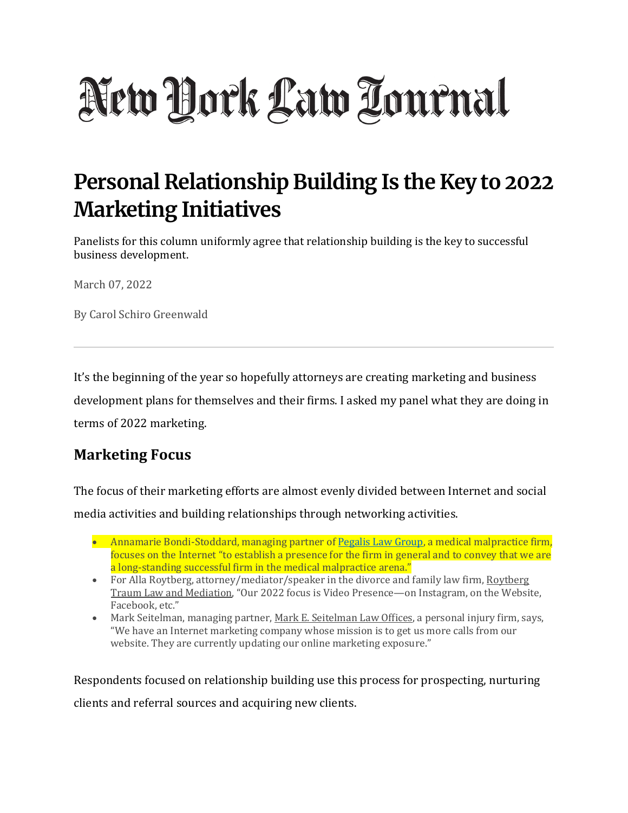# New York Law Tournal

# **Personal Relationship Building Is the Key to 2022 Marketing Initiatives**

Panelists for this column uniformly agree that relationship building is the key to successful business development.

March 07, 2022

By Carol Schiro Greenwald

It's the beginning of the year so hopefully attorneys are creating marketing and business development plans for themselves and their firms. I asked my panel what they are doing in terms of 2022 marketing.

### **Marketing Focus**

The focus of their marketing efforts are almost evenly divided between Internet and social media activities and building relationships through networking activities.

- Annamarie Bondi-Stoddard, managing partner of [Pegalis Law Group,](http://www.pegalislawgroup.com/) a medical malpractice firm, focuses on the Internet "to establish a presence for the firm in general and to convey that we are a long-standing successful firm in the medical malpractice arena."
- For Alla Roytberg, attorney/mediator/speaker in the divorce and family law firm, Roytberg Traum Law and Mediation, "Our 2022 focus is Video Presence—on Instagram, on the Website, Facebook, etc."
- Mark Seitelman, managing partner, Mark E. Seitelman Law Offices, a personal injury firm, says, "We have an Internet marketing company whose mission is to get us more calls from our website. They are currently updating our online marketing exposure."

Respondents focused on relationship building use this process for prospecting, nurturing clients and referral sources and acquiring new clients.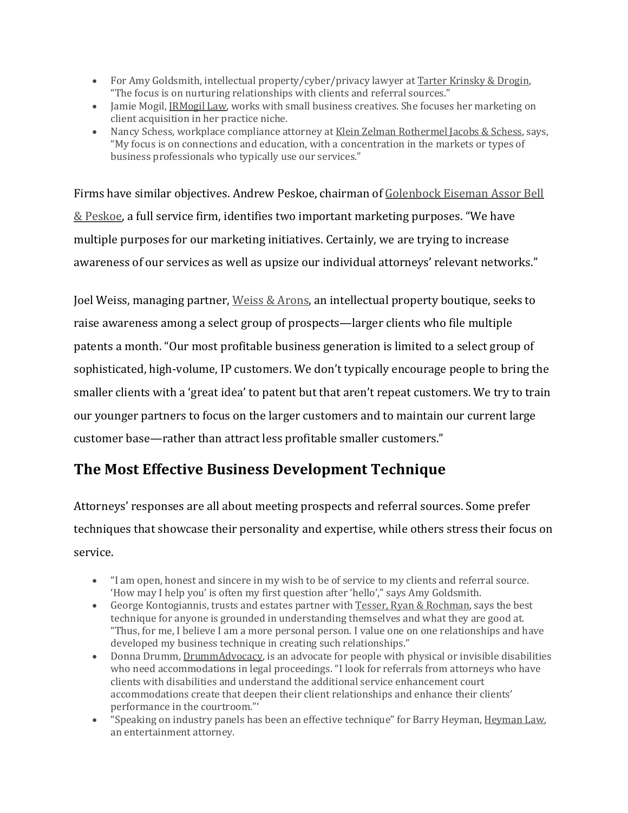- For Amy Goldsmith, intellectual property/cyber/privacy lawyer at Tarter Krinsky & Drogin, "The focus is on nurturing relationships with clients and referral sources."
- Jamie Mogil, JRMogil Law, works with small business creatives. She focuses her marketing on client acquisition in her practice niche.
- Nancy Schess, workplace compliance attorney at Klein Zelman Rothermel Jacobs & Schess, says, "My focus is on connections and education, with a concentration in the markets or types of business professionals who typically use our services."

Firms have similar objectives. Andrew Peskoe, chairman of Golenbock Eiseman Assor Bell & Peskoe, a full service firm, identifies two important marketing purposes. "We have multiple purposes for our marketing initiatives. Certainly, we are trying to increase awareness of our services as well as upsize our individual attorneys' relevant networks."

Joel Weiss, managing partner, Weiss & Arons, an intellectual property boutique, seeks to raise awareness among a select group of prospects—larger clients who file multiple patents a month. "Our most profitable business generation is limited to a select group of sophisticated, high-volume, IP customers. We don't typically encourage people to bring the smaller clients with a 'great idea' to patent but that aren't repeat customers. We try to train our younger partners to focus on the larger customers and to maintain our current large customer base—rather than attract less profitable smaller customers."

# **The Most Effective Business Development Technique**

Attorneys' responses are all about meeting prospects and referral sources. Some prefer techniques that showcase their personality and expertise, while others stress their focus on service.

- "I am open, honest and sincere in my wish to be of service to my clients and referral source. 'How may I help you' is often my first question after 'hello'," says Amy Goldsmith.
- George Kontogiannis, trusts and estates partner with Tesser, Ryan & Rochman, says the best technique for anyone is grounded in understanding themselves and what they are good at. "Thus, for me, I believe I am a more personal person. I value one on one relationships and have developed my business technique in creating such relationships."
- Donna Drumm, DrummAdvocacy, is an advocate for people with physical or invisible disabilities who need accommodations in legal proceedings. "I look for referrals from attorneys who have clients with disabilities and understand the additional service enhancement court accommodations create that deepen their client relationships and enhance their clients' performance in the courtroom."'
- "Speaking on industry panels has been an effective technique" for Barry Heyman, Heyman Law, an entertainment attorney.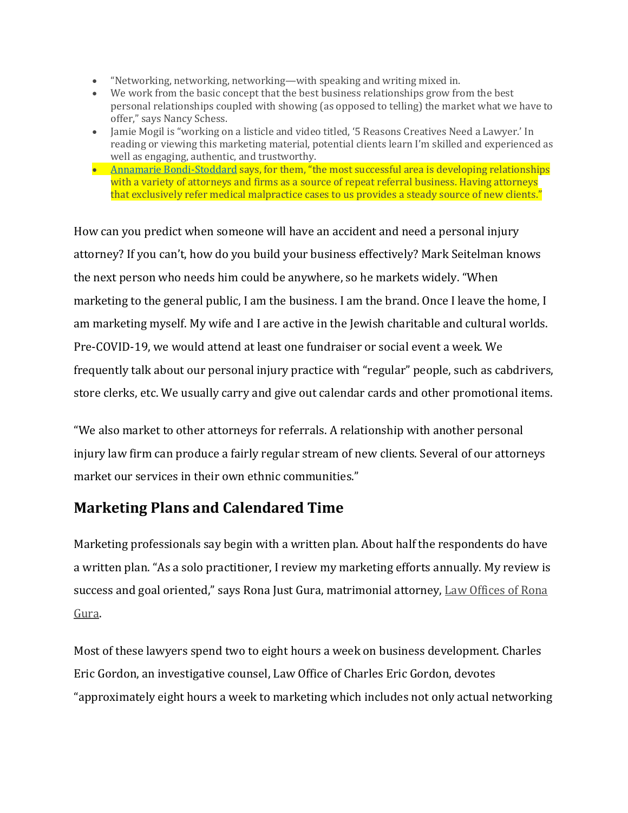- "Networking, networking, networking—with speaking and writing mixed in.
- We work from the basic concept that the best business relationships grow from the best personal relationships coupled with showing (as opposed to telling) the market what we have to offer," says Nancy Schess.
- Jamie Mogil is "working on a listicle and video titled, '5 Reasons Creatives Need a Lawyer.' In reading or viewing this marketing material, potential clients learn I'm skilled and experienced as well as engaging, authentic, and trustworthy.
- [Annamarie Bondi-Stoddard](https://pegalislawgroup.com/attorneys/bondi/) says, for them, "the most successful area is developing relationships with a variety of attorneys and firms as a source of repeat referral business. Having attorneys that exclusively refer medical malpractice cases to us provides a steady source of new clients."

How can you predict when someone will have an accident and need a personal injury attorney? If you can't, how do you build your business effectively? Mark Seitelman knows the next person who needs him could be anywhere, so he markets widely. "When marketing to the general public, I am the business. I am the brand. Once I leave the home, I am marketing myself. My wife and I are active in the Jewish charitable and cultural worlds. Pre-COVID-19, we would attend at least one fundraiser or social event a week. We frequently talk about our personal injury practice with "regular" people, such as cabdrivers, store clerks, etc. We usually carry and give out calendar cards and other promotional items.

"We also market to other attorneys for referrals. A relationship with another personal injury law firm can produce a fairly regular stream of new clients. Several of our attorneys market our services in their own ethnic communities."

## **Marketing Plans and Calendared Time**

Marketing professionals say begin with a written plan. About half the respondents do have a written plan. "As a solo practitioner, I review my marketing efforts annually. My review is success and goal oriented," says Rona Just Gura, matrimonial attorney, Law Offices of Rona Gura.

Most of these lawyers spend two to eight hours a week on business development. Charles Eric Gordon, an investigative counsel, Law Office of Charles Eric Gordon, devotes "approximately eight hours a week to marketing which includes not only actual networking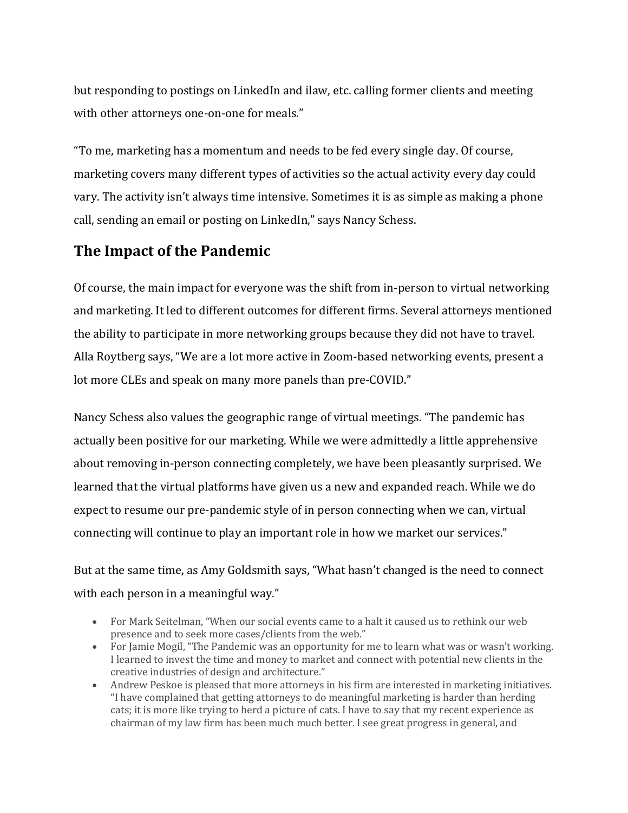but responding to postings on LinkedIn and ilaw, etc. calling former clients and meeting with other attorneys one-on-one for meals."

"To me, marketing has a momentum and needs to be fed every single day. Of course, marketing covers many different types of activities so the actual activity every day could vary. The activity isn't always time intensive. Sometimes it is as simple as making a phone call, sending an email or posting on LinkedIn," says Nancy Schess.

#### **The Impact of the Pandemic**

Of course, the main impact for everyone was the shift from in-person to virtual networking and marketing. It led to different outcomes for different firms. Several attorneys mentioned the ability to participate in more networking groups because they did not have to travel. Alla Roytberg says, "We are a lot more active in Zoom-based networking events, present a lot more CLEs and speak on many more panels than pre-COVID."

Nancy Schess also values the geographic range of virtual meetings. "The pandemic has actually been positive for our marketing. While we were admittedly a little apprehensive about removing in-person connecting completely, we have been pleasantly surprised. We learned that the virtual platforms have given us a new and expanded reach. While we do expect to resume our pre-pandemic style of in person connecting when we can, virtual connecting will continue to play an important role in how we market our services."

But at the same time, as Amy Goldsmith says, "What hasn't changed is the need to connect with each person in a meaningful way."

- For Mark Seitelman, "When our social events came to a halt it caused us to rethink our web presence and to seek more cases/clients from the web."
- For Jamie Mogil, "The Pandemic was an opportunity for me to learn what was or wasn't working. I learned to invest the time and money to market and connect with potential new clients in the creative industries of design and architecture."
- Andrew Peskoe is pleased that more attorneys in his firm are interested in marketing initiatives. "I have complained that getting attorneys to do meaningful marketing is harder than herding cats; it is more like trying to herd a picture of cats. I have to say that my recent experience as chairman of my law firm has been much much better. I see great progress in general, and